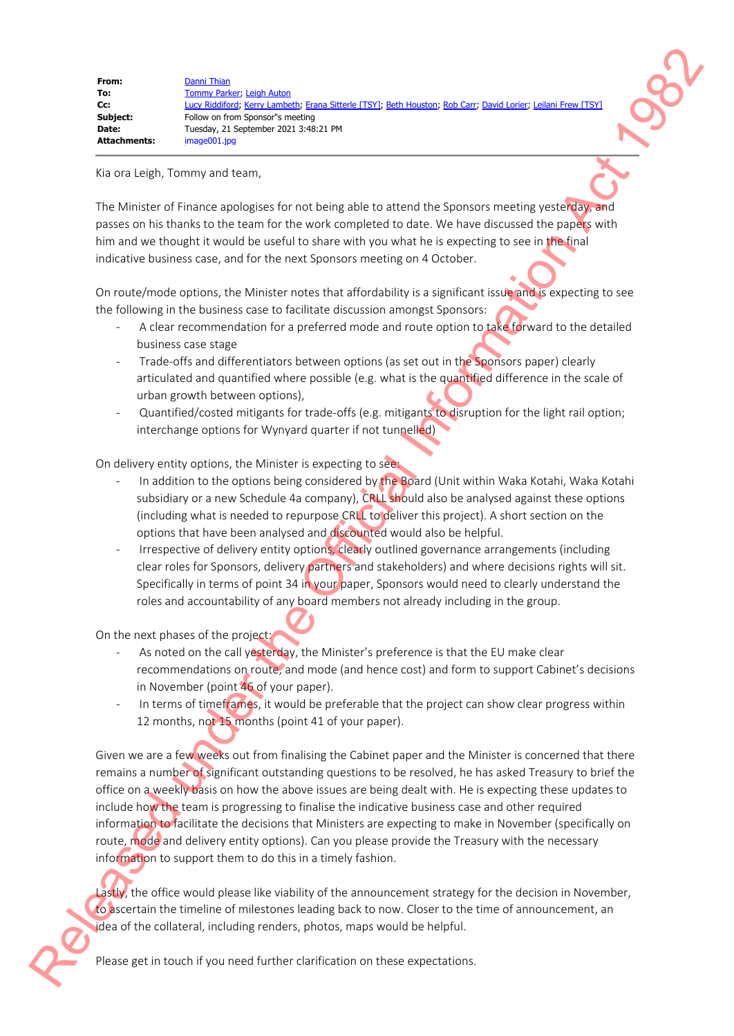| From:        | Danni Thian                                                                                                   |
|--------------|---------------------------------------------------------------------------------------------------------------|
| To:          | Tommy Parker: Leigh Auton                                                                                     |
| Cc:          | Lucy Riddiford; Kerry Lambeth; Erana Sitterle [TSY]; Beth Houston; Rob Carr; David Lorier; Leilani Frew [TSY] |
| Subject:     | Follow on from Sponsor"s meeting                                                                              |
| Date:        | Tuesday, 21 September 2021 3:48:21 PM                                                                         |
| Attachments: | image001.jpg                                                                                                  |

Kia ora Leigh, Tommy and team,

The Minister of Finance apologises for not being able to attend the Sponsors meeting yesterday, and passes on his thanks to the team for the work completed to date. We have discussed the papers with him and we thought it would be useful to share with you what he is expecting to see in the final indicative business case, and for the next Sponsors meeting on 4 October.

On route/mode options, the Minister notes that affordability is a significant issue and is expecting to see the following in the business case to facilitate discussion amongst Sponsors:

- A clear recommendation for a preferred mode and route option to take forward to the detailed business case stage
- Trade-offs and differentiators between options (as set out in the Sponsors paper) clearly articulated and quantified where possible (e.g. what is the quantified difference in the scale of urban growth between options),
- Quantified/costed mitigants for trade-offs (e.g. mitigants to disruption for the light rail option; interchange options for Wynyard quarter if not tunnelled)

On delivery entity options, the Minister is expecting to see:

- In addition to the options being considered by the Board (Unit within Waka Kotahi, Waka Kotahi subsidiary or a new Schedule 4a company), CRLL should also be analysed against these options (including what is needed to repurpose CRLL to deliver this project). A short section on the options that have been analysed and discounted would also be helpful.
- Irrespective of delivery entity options, clearly outlined governance arrangements (including clear roles for Sponsors, delivery partners and stakeholders) and where decisions rights will sit. Specifically in terms of point 34 in your paper, Sponsors would need to clearly understand the roles and accountability of any board members not already including in the group.

On the next phases of the project:

- As noted on the call yesterday, the Minister's preference is that the EU make clear recommendations on route, and mode (and hence cost) and form to support Cabinet's decisions in November (point 46 of your paper).
- In terms of timeframes, it would be preferable that the project can show clear progress within 12 months, not 15 months (point 41 of your paper).

Given we are a few weeks out from finalising the Cabinet paper and the Minister is concerned that there remains a number of significant outstanding questions to be resolved, he has asked Treasury to brief the office on a weekly basis on how the above issues are being dealt with. He is expecting these updates to include how the team is progressing to finalise the indicative business case and other required information to facilitate the decisions that Ministers are expecting to make in November (specifically on route, mode and delivery entity options). Can you please provide the Treasury with the necessary information to support them to do this in a timely fashion. Release on the Control of the Official International International International Control of the Official International Control of the Official International Control of the Official International Control of the Official In

Lastly, the office would please like viability of the announcement strategy for the decision in November, to ascertain the timeline of milestones leading back to now. Closer to the time of announcement, an idea of the collateral, including renders, photos, maps would be helpful.

Please get in touch if you need further clarification on these expectations.